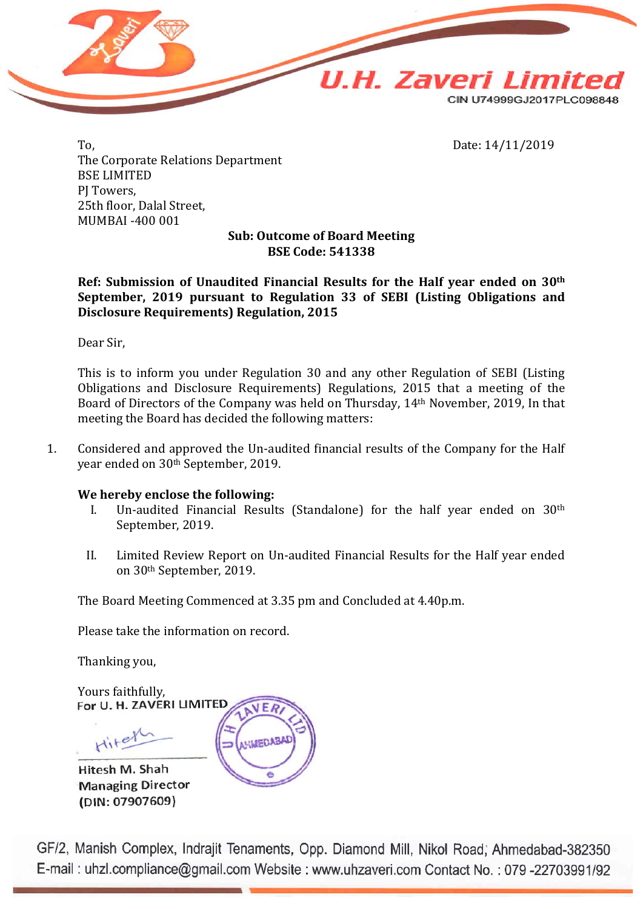

To, Date: 14/11/2019 The Corporate Relations Department BSE LIMITED PJ Towers, 25th floor, Dalal Street, MUMBAI -400 001

### **Sub: Outcome of Board Meeting BSE Code: 541338**

**Ref: Submission of Unaudited Financial Results for the Half year ended on 30th September, 2019 pursuant to Regulation 33 of SEBI (Listing Obligations and Disclosure Requirements) Regulation, 2015**

Dear Sir,

This is to inform you under Regulation 30 and any other Regulation of SEBI (Listing Obligations and Disclosure Requirements) Regulations, 2015 that a meeting of the Board of Directors of the Company was held on Thursday, 14th November, 2019, In that meeting the Board has decided the following matters:

1. Considered and approved the Un-audited financial results of the Company for the Half year ended on 30th September, 2019.

#### **We hereby enclose the following:**

- I. Un-audited Financial Results (Standalone) for the half year ended on 30th September, 2019.
- II. Limited Review Report on Un-audited Financial Results for the Half year ended on 30th September, 2019.

The Board Meeting Commenced at 3.35 pm and Concluded at 4.40p.m.

Please take the information on record.

Thanking you,

Yours faithfully,<br>For U. H. ZAVERI LIMITED ER Hitel **HMEDAB** 

Hitesh M. Shah **Managing Director** (DIN: 07907609)

GF/2, Manish Complex, Indrajit Tenaments, Opp. Diamond Mill, Nikol Road; Ahmedabad-382350 E-mail: uhzl.compliance@gmail.com Website: www.uhzaveri.com Contact No.: 079-22703991/92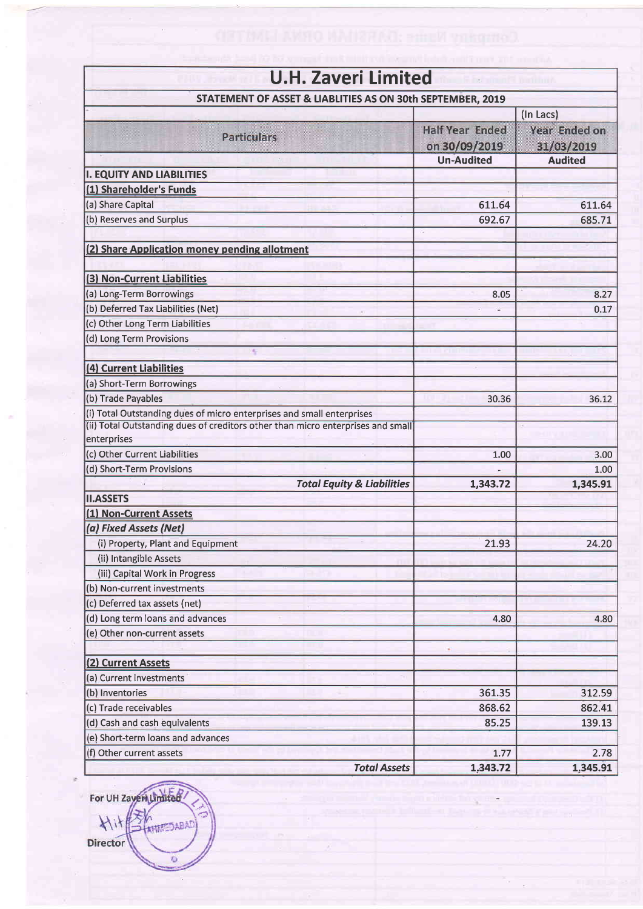| <b>U.H. Zaveri Limited</b>                                                      |                                         |                                    |  |  |  |  |
|---------------------------------------------------------------------------------|-----------------------------------------|------------------------------------|--|--|--|--|
| STATEMENT OF ASSET & LIABLITIES AS ON 30th SEPTEMBER, 2019                      |                                         |                                    |  |  |  |  |
|                                                                                 |                                         | (In Lacs)                          |  |  |  |  |
| <b>Particulars</b>                                                              | <b>Half Year Ended</b><br>on 30/09/2019 | <b>Year Ended on</b><br>31/03/2019 |  |  |  |  |
|                                                                                 | <b>Un-Audited</b>                       | <b>Audited</b>                     |  |  |  |  |
| <b>I. EQUITY AND LIABILITIES</b>                                                |                                         |                                    |  |  |  |  |
| (1) Shareholder's Funds                                                         |                                         |                                    |  |  |  |  |
| (a) Share Capital                                                               | 611.64                                  | 611.64                             |  |  |  |  |
| (b) Reserves and Surplus                                                        | 692.67                                  | 685.71                             |  |  |  |  |
| (2) Share Application money pending allotment                                   |                                         |                                    |  |  |  |  |
|                                                                                 |                                         |                                    |  |  |  |  |
| (3) Non-Current Liabilities                                                     |                                         |                                    |  |  |  |  |
| (a) Long-Term Borrowings<br>(b) Deferred Tax Liabilities (Net)                  | 8.05                                    | 8.27                               |  |  |  |  |
| (c) Other Long Term Liabilities                                                 |                                         | 0.17                               |  |  |  |  |
| (d) Long Term Provisions                                                        |                                         |                                    |  |  |  |  |
| s                                                                               |                                         |                                    |  |  |  |  |
| (4) Current Liabilities                                                         |                                         |                                    |  |  |  |  |
| (a) Short-Term Borrowings                                                       |                                         |                                    |  |  |  |  |
| (b) Trade Payables                                                              | 30.36                                   | 36.12                              |  |  |  |  |
| (i) Total Outstanding dues of micro enterprises and small enterprises           |                                         |                                    |  |  |  |  |
| (ii) Total Outstanding dues of creditors other than micro enterprises and small |                                         |                                    |  |  |  |  |
| enterprises                                                                     |                                         |                                    |  |  |  |  |
| (c) Other Current Liabilities                                                   | 1.00                                    | 3.00                               |  |  |  |  |
| (d) Short-Term Provisions                                                       |                                         | 1.00                               |  |  |  |  |
| <b>Total Equity &amp; Liabilities</b>                                           | 1,343.72                                | 1,345.91                           |  |  |  |  |
| <b>II.ASSETS</b>                                                                |                                         |                                    |  |  |  |  |
| (1) Non-Current Assets                                                          |                                         |                                    |  |  |  |  |
| (a) Fixed Assets (Net)                                                          |                                         |                                    |  |  |  |  |
| (i) Property, Plant and Equipment                                               | 21.93                                   | 24.20                              |  |  |  |  |
| (ii) Intangible Assets                                                          |                                         |                                    |  |  |  |  |
| (iii) Capital Work in Progress                                                  |                                         |                                    |  |  |  |  |
| (b) Non-current investments                                                     |                                         |                                    |  |  |  |  |
| (c) Deferred tax assets (net)                                                   |                                         |                                    |  |  |  |  |
| (d) Long term loans and advances                                                | 4.80                                    | 4.80                               |  |  |  |  |
| (e) Other non-current assets                                                    |                                         |                                    |  |  |  |  |
| (2) Current Assets                                                              |                                         |                                    |  |  |  |  |
| (a) Current investments                                                         |                                         |                                    |  |  |  |  |
| (b) Inventories                                                                 | 361.35                                  | 312.59                             |  |  |  |  |
| (c) Trade receivables                                                           | 868.62                                  | 862.41                             |  |  |  |  |
| (d) Cash and cash equivalents                                                   | 85.25                                   | 139.13                             |  |  |  |  |
| (e) Short-term loans and advances                                               |                                         |                                    |  |  |  |  |
| (f) Other current assets                                                        | 1.77                                    | 2.78                               |  |  |  |  |
| <b>Total Assets</b>                                                             | 1,343.72                                | 1,345.91                           |  |  |  |  |

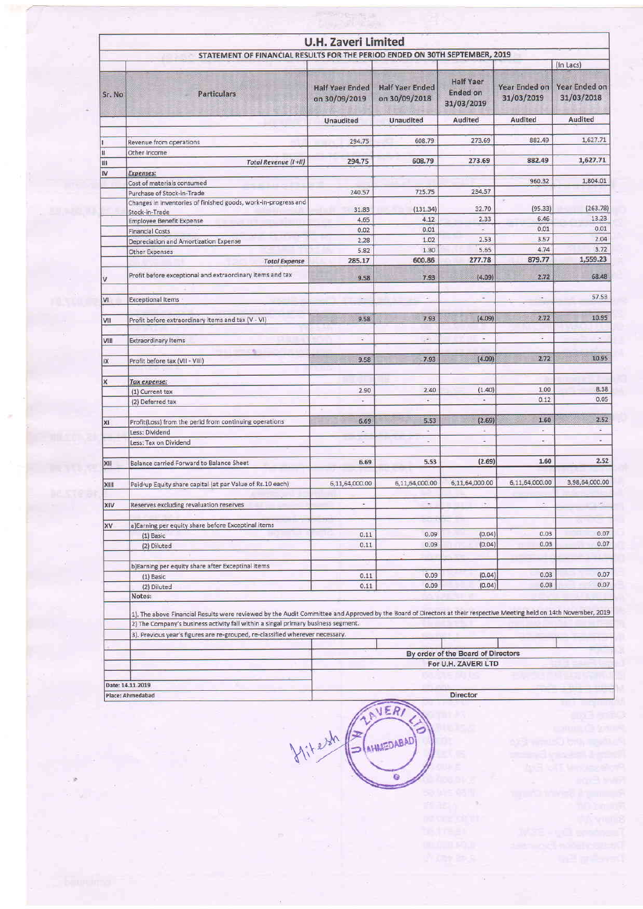|        |                                                                                                                                                                     | <b>U.H. Zaveri Limited</b>              |                                         |                                                   |                                    |                                    |
|--------|---------------------------------------------------------------------------------------------------------------------------------------------------------------------|-----------------------------------------|-----------------------------------------|---------------------------------------------------|------------------------------------|------------------------------------|
|        | STATEMENT OF FINANCIAL RESULTS FOR THE PERIOD ENDED ON 30TH SEPTEMBER, 2019                                                                                         |                                         |                                         |                                                   |                                    | (In Lacs)                          |
| Sr. No | <b>Particulars</b>                                                                                                                                                  | <b>Half Yaer Ended</b><br>on 30/09/2019 | <b>Half Yaer Ended</b><br>on 30/09/2018 | <b>Half Yaer</b><br><b>Ended on</b><br>31/03/2019 | <b>Year Ended on</b><br>31/03/2019 | <b>Year Ended on</b><br>31/03/2018 |
|        |                                                                                                                                                                     | Unaudited                               | Unaudited                               | Audited                                           | Audited                            | Audited                            |
|        | Revenue from operations                                                                                                                                             | 294.75                                  | 608.79                                  | 273.69                                            | 882.49                             | 1,627.71                           |
| n      | Other Income                                                                                                                                                        |                                         |                                         |                                                   |                                    |                                    |
| Ш      | Total Revenue (I+II)                                                                                                                                                | 294.75                                  | 608.79                                  | 273.69                                            | 882.49                             | 1,627.71                           |
| IV     | <b>Expenses:</b>                                                                                                                                                    |                                         |                                         |                                                   |                                    |                                    |
|        | Cost of materials consumed                                                                                                                                          |                                         |                                         |                                                   | 960.32                             | 1,804.01                           |
|        | Purchase of Stock-in-Trade                                                                                                                                          | 240.57                                  | 725.75                                  | 234.57                                            |                                    |                                    |
|        | Changes in inventories of finished goods, work-in-progress and<br>Stock-in-Trade                                                                                    | 31.83                                   | (131.34)                                | 32.70                                             | (95.33)                            | (263, 78)                          |
|        | <b>Employee Benefit Expense</b>                                                                                                                                     | 4.65                                    | 4.12                                    | 2.33                                              | 6.46                               | 13.23                              |
|        | <b>Financial Costs</b>                                                                                                                                              | 0.02                                    | 0.01                                    | $\sim$                                            | 0.01                               | 0.01                               |
|        | Depreciation and Amortization Expense                                                                                                                               | 2.28                                    | 1.02                                    | 2.53                                              | 3.57                               | 2.04                               |
|        | <b>Other Expenses</b>                                                                                                                                               | 5.82                                    | 1.30                                    | 5.65                                              | 4.74                               | 3.72                               |
|        | <b>Total Expense</b>                                                                                                                                                | 285.17                                  | 600.86                                  | 277.78                                            | 879.77                             | 1,559.23                           |
| v      | Profit before exceptional and extraordinary items and tax                                                                                                           | 9.58                                    | 7.93                                    | (4.09)                                            | 2.72                               | 68.48                              |
| VI.    | <b>Exceptional Items</b>                                                                                                                                            | $\sim$                                  | ÷                                       | Ξ                                                 | $\overline{\phantom{a}}$           | 57.53                              |
|        |                                                                                                                                                                     |                                         |                                         |                                                   |                                    |                                    |
| VII    | Profit before extraordinary items and tax (V - VI)                                                                                                                  | 9.58                                    | 7.93                                    | (4.09)                                            | 2.72                               | 10.95                              |
| VIII   | <b>Extraordinary Items</b><br>٠                                                                                                                                     | $\ddot{\phantom{a}}$                    | p.                                      | $\sim$                                            | ¥                                  | ×                                  |
| ĐX.    | Profit before tax (VII - VIII)                                                                                                                                      | 9.58                                    | 7.93                                    | [4.09]                                            | 2.72                               | 10.95                              |
| x      | <b>Tax expense:</b>                                                                                                                                                 |                                         |                                         |                                                   |                                    |                                    |
|        | (1) Current tax                                                                                                                                                     | 2.90                                    | 2.40                                    | (1.40)                                            | 1.00                               | 8.38                               |
|        | (2) Deferred tax                                                                                                                                                    | ÷                                       | $\sim$                                  | $\tilde{\phantom{a}}$                             | 0.12                               | 0.05                               |
|        |                                                                                                                                                                     | 6.69                                    | 5.53                                    | (2.69)                                            | 1.60                               | 2.52                               |
| XI     | Profit(Loss) from the perid from continuing operations<br>Less: Dividend                                                                                            | ×                                       | ×.                                      | ٠                                                 | $\overline{\phantom{a}}$           | $\sim$                             |
|        | Less: Tax on Dividend                                                                                                                                               | $\overline{\phantom{a}}$                | $\sim$                                  | ٠                                                 | ÷                                  | $\overline{\phantom{a}}$           |
|        |                                                                                                                                                                     |                                         |                                         |                                                   |                                    |                                    |
| XII    | Balance carried Forward to Balance Sheet                                                                                                                            | 6.69                                    | 5.53                                    | (2.69)                                            | 1.60                               | 2.52                               |
| XIII   | Paid-up Equity share capital (at par Value of Rs.10 each)                                                                                                           | 6,11,64,000.00                          | 6,11,64,000.00                          | 6,11,64,000.00                                    | 6,11,64,000.00                     | 3,98,64,000.00                     |
| XIV    | Reserves excluding revaluation reserves                                                                                                                             | ٠                                       | $\omega$                                | $\rightarrow$                                     |                                    | $\sim$                             |
|        |                                                                                                                                                                     |                                         |                                         |                                                   |                                    |                                    |
| XV     | a)Earning per equity share before Exceptinal items                                                                                                                  |                                         |                                         |                                                   |                                    | 0.07                               |
|        | $(1)$ Basic                                                                                                                                                         | 0.11                                    | 0.09<br>0.09                            | (0.04)<br>(0.04)                                  | 0.03<br>0.03                       | 0.07                               |
|        | (2) Diluted                                                                                                                                                         | 0.11                                    |                                         |                                                   |                                    |                                    |
|        | b)Earning per equity share after Exceptinal items                                                                                                                   |                                         |                                         |                                                   |                                    |                                    |
|        | $(1)$ Basic                                                                                                                                                         | 0.11                                    | 0.09                                    | (0.04)                                            | 0.03                               | 0.07                               |
|        | (2) Diluted                                                                                                                                                         | 0.11                                    | 0.09                                    | (0.04)                                            | 0.03                               | 0.07                               |
|        | Notes:                                                                                                                                                              |                                         |                                         |                                                   |                                    |                                    |
|        | 1). The above Financial Results were reviewed by the Audit Committee and Approved by the Board of Directors at their respective Meeting held on 14th November, 2019 |                                         |                                         |                                                   |                                    |                                    |
|        | 2) The Company's business activity fall within a singal primary business segment.<br>3). Previous year's figures are re-grouped, re-classified wherever necessary.  |                                         |                                         |                                                   |                                    |                                    |
|        |                                                                                                                                                                     |                                         |                                         |                                                   |                                    |                                    |
|        |                                                                                                                                                                     |                                         |                                         | By order of the Board of Directors                |                                    |                                    |
|        | For U.H. ZAVERI LTD                                                                                                                                                 |                                         |                                         |                                                   |                                    |                                    |
|        |                                                                                                                                                                     |                                         |                                         |                                                   |                                    |                                    |
|        | Date: 14.11.2019                                                                                                                                                    |                                         |                                         |                                                   |                                    |                                    |
|        | Place: Ahmedabad                                                                                                                                                    |                                         |                                         | <b>Director</b>                                   |                                    |                                    |

**VERT** itersh AHMEDABAD ō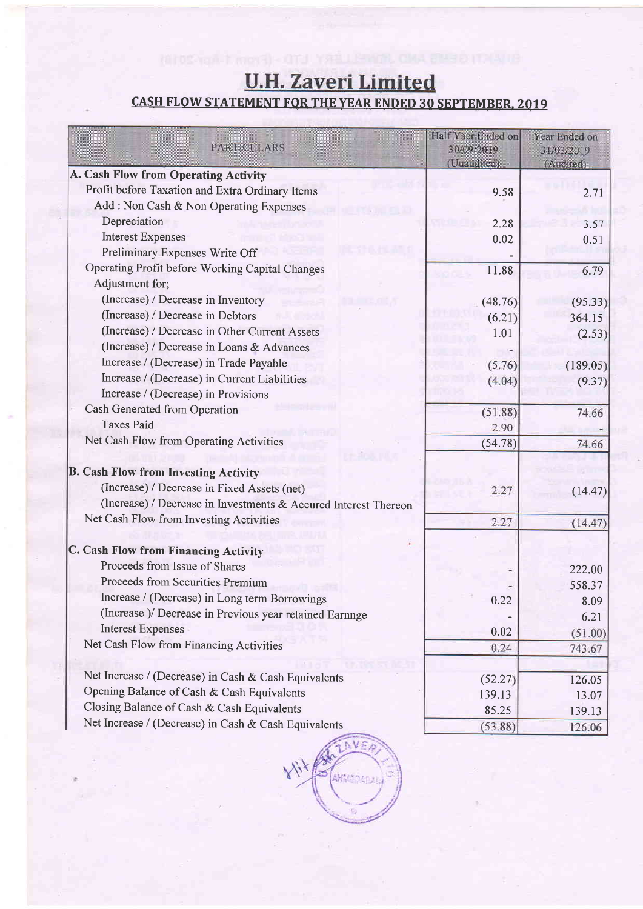# **U.H. Zaveri Limited**

## **CASH FLOW STATEMENT FOR THE YEAR ENDED 30 SEPTEMBER, 2019**

| <b>PARTICULARS</b>                                                 | Half Yaer Ended on<br>30/09/2019<br>(Uuaudited) | Year Ended on<br>31/03/2019<br>(Audited) |
|--------------------------------------------------------------------|-------------------------------------------------|------------------------------------------|
| A. Cash Flow from Operating Activity                               |                                                 |                                          |
| Profit before Taxation and Extra Ordinary Items                    | 9.58                                            | 2.71                                     |
| Add: Non Cash & Non Operating Expenses                             |                                                 |                                          |
| Depreciation                                                       | 2.28                                            | 3.57                                     |
| <b>Interest Expenses</b>                                           | 0.02                                            | 0.51                                     |
| Preliminary Expenses Write Off                                     |                                                 |                                          |
| Operating Profit before Working Capital Changes<br>Adjustment for; | 11.88                                           | 6.79                                     |
| (Increase) / Decrease in Inventory                                 | (48.76)                                         |                                          |
| (Increase) / Decrease in Debtors                                   | (6.21)                                          | (95.33)                                  |
| (Increase) / Decrease in Other Current Assets                      | 1.01                                            | 364.15                                   |
| (Increase) / Decrease in Loans & Advances                          |                                                 | (2.53)                                   |
| Increase / (Decrease) in Trade Payable                             | (5.76)                                          |                                          |
| Increase / (Decrease) in Current Liabilities                       | (4.04)                                          | (189.05)                                 |
| Increase / (Decrease) in Provisions                                |                                                 | (9.37)                                   |
| Cash Generated from Operation                                      | (51.88)                                         | 74.66                                    |
| <b>Taxes Paid</b>                                                  | 2.90                                            |                                          |
| Net Cash Flow from Operating Activities                            | (54.78)                                         | 74.66                                    |
| <b>B. Cash Flow from Investing Activity</b>                        |                                                 |                                          |
| (Increase) / Decrease in Fixed Assets (net)                        | 2.27                                            | (14.47)                                  |
| (Increase) / Decrease in Investments & Accured Interest Thereon    |                                                 |                                          |
| Net Cash Flow from Investing Activities                            | 2.27                                            | (14.47)                                  |
| C. Cash Flow from Financing Activity                               |                                                 |                                          |
| Proceeds from Issue of Shares                                      |                                                 | 222.00                                   |
| Proceeds from Securities Premium                                   |                                                 | 558.37                                   |
| Increase / (Decrease) in Long term Borrowings                      | 0.22                                            | 8.09                                     |
| (Increase )/ Decrease in Previous year retained Earnnge            |                                                 | 6.21                                     |
| <b>Interest Expenses</b>                                           | 0.02                                            | (51.00)                                  |
| Net Cash Flow from Financing Activities                            | 0.24                                            | 743.67                                   |
| Net Increase / (Decrease) in Cash & Cash Equivalents               | (52.27)                                         | 126.05                                   |
| Opening Balance of Cash & Cash Equivalents                         | 139.13                                          | 13.07                                    |
| Closing Balance of Cash & Cash Equivalents                         | 85.25                                           | 139.13                                   |
| Net Increase / (Decrease) in Cash & Cash Equivalents               | (53.88)                                         | 126.06                                   |